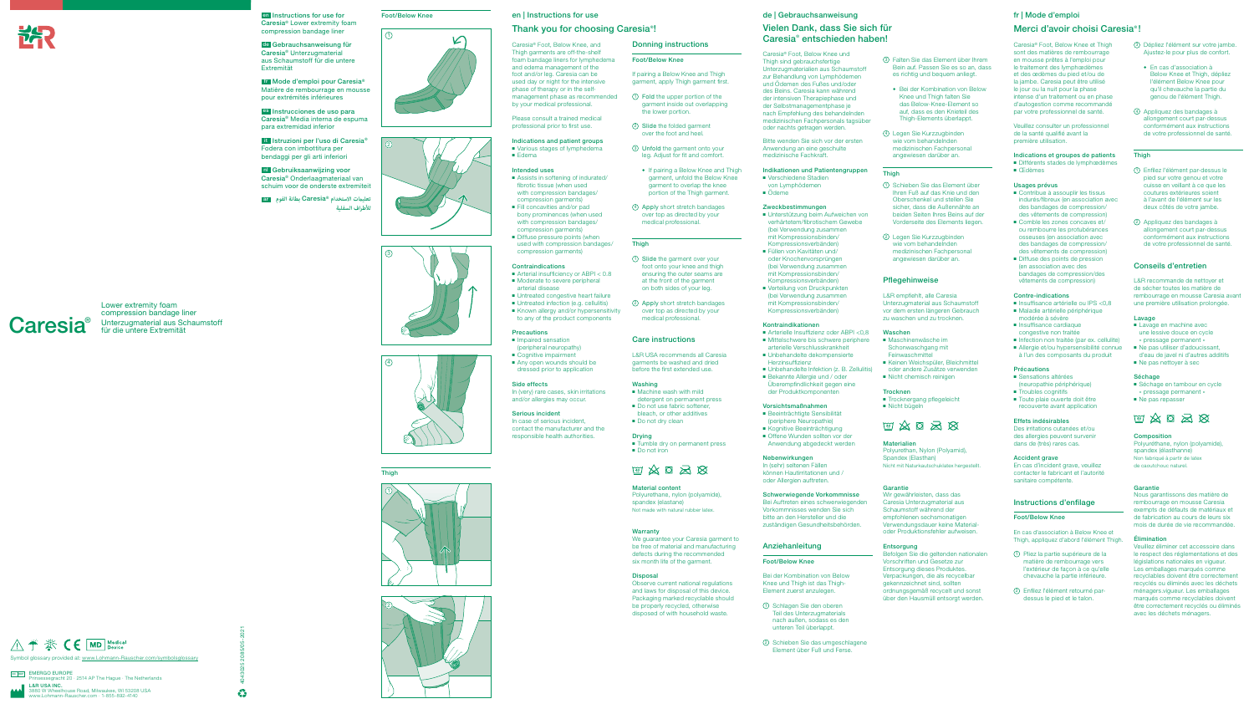

**Caresia**®

Lower extremity foam compression bandage liner Unterzugmaterial aus Schaumstoff

für die untere Extremität

4043025 2085/05-2021













O EUNUFE<br>segracht 20 · 2514 AP The Hague · The Netherlands L&R USA INC. ouse Road, Milwaukee, WI 53208 USA<br>Rauscher.com · 1-855-892-4140 www.Lohmann-Rauscher.com · 1-855-892-4140

 $\frac{1}{2}$ 





Thigh









en Instructions for use for Foot/Below Knee Caresia® Lower extremity foam compression bandage liner

de Gebrauchsanweisung für Caresia® Unterzugmaterial aus Schaumstoff für die untere Extremität

fr Mode d'emploi pour Caresia® Matière de rembourrage en mousse pour extrémités inférieures

es Instrucciones de uso para Caresia® Media interna de espuma para extremidad inferior

> ■ Various stages of lymphedema ■ Edema

it Istruzioni per l'uso di Caresia® Fodera con imbottitura per bendaggi per gli arti inferiori

- Assists in softening of indurated fibrotic tissue (when used with compression bandages/ compression garments) ■ Fill concavities and/or pad
- bony prominences (when used with compression bandages/ compression garments) ■ Diffuse pressure points (when
- used with compression bandages/ compression garments)

nl Gebruiksaanwijzing voor Caresia® Onderlaagmateriaal van schuim voor de onderste extremiteit

ar **الفوم بطانة** Caresia®z **تعليامت االستخدام لألطراف السفلية**

### en | Instructions for use

- Arterial insufficiency or ABPI < 0.8 ■ Moderate to severe peripheral arterial disease
- Untreated congestive heart failure
- Untreated infection (e.g. cellulitis) ■ Known allergy and/or hypersensitivity to any of the product components

#### **Precautions**

### Thank you for choosing Caresia® !

- Impaired sensation (peripheral neuropathy)
- Cognitive impairment
- Any open wounds should be dressed prior to application

In case of serious incident. contact the manufacturer and the responsible health authorities.

Caresia® Foot, Below Knee, and Thigh garments are off-the-shelf foam bandage liners for lymphedema and edema management of the foot and/or leg. Caresia can be used day or night for the intensive phase of therapy or in the selfmanagement phase as recommended by your medical professional.

Please consult a trained medical professional prior to first use.

> ◆ If pairing a Below Knee and Thigh garment, unfold the Below Knee garment to overlap the knee portion of the Thigh garment.

### Indications and patient groups

#### Intended uses

Drying ■ Tumble dry on permanent press ■ Do not iron

### Contraindications

We guarantee your Caresia garment to be free of material and manufacturing defects during the recommended six month life of the garment.

#### Indikationen und Patientengruppen ■ Verschiedene Stadien

#### Side effects

In (very) rare cases, skin irritations and/or allergies may occur.

#### Serious incident

Donning instructions

Foot/Below Knee

# $\text{W} \otimes \text{S} \otimes \text{S}$

- Unterstützung beim Aufweichen von verhärtetem/fibrotischem Gewebe (bei Verwendung zusammen mit Kompressionsbinden/ Kompressionsverbänden)
- Füllen von Kavitäten und/ oder Knochenvorsprüngen (bei Verwendung zusammen mit Kompressionsbinden/ Kompressionsverbänden)
- Verteilung von Druckpunkten (bei Verwendung zusammen mit Kompressionsbinden/ Kompressionsverbänden)

If pairing a Below Knee and Thigh garment, apply Thigh garment first. 1 Fold the upper portion of the garment inside out overlapping

the lower portion. 2 Slide the folded garment over the foot and heel. 3 Unfold the garment onto your leg. Adjust for fit and comfort.

- Beeinträchtigte Sensibilität (periphere Neuropathie)
- Kognitive Beeinträchtigung
- Offene Wunden sollten vor der Anwendung abgedeckt werden

4 Apply short stretch bandages over top as directed by your medical professional.

1 Slide the garment over your foot onto your knee and thigh ensuring the outer seams are at the front of the garment on both sides of your leg. 2 Apply short stretch bandages over top as directed by your medical professional.

Care instructions

■ Machine wash with mild detergent on permanent press ■ Do not use fabric softener, bleach, or other additives ■ Do not dry clean

L&R USA recommends all Caresia garments be washed and dried before the first extended use.

**Thigh** 

Washing

Material content

Polyurethane, nylon (polyamide), spandex (elastane) Not made with natural rubber latex.

#### Warranty

Befolgen Sie die geltenden nationalen Vorschriften und Gesetze zur Entsorgung dieses Produktes. Verpackungen, die als recycelbar gekennzeichnet sind, sollten ordnungsgemäß recycelt und sonst über den Hausmüll entsorgt werden.

#### Disposal

Observe current national regulations and laws for disposal of this device. Packaging marked recyclable should be properly recycled, otherwise disposed of with household waste.

### de | Gebrauchsanweisung

#### Indications et groupes de patients ■ Différents stades de lymphœdèmes

## Vielen Dank, dass Sie sich für Caresia® entschieden haben!

Caresia® Foot, Below Knee und Thigh sind gebrauchsfertige Unterzugmaterialien aus Schaumstoff zur Behandlung von Lymphödemen und Ödemen des Fußes und/oder des Beins. Caresia kann während der intensiven Therapiephase und der Selbstmanagementphase je nach Empfehlung des behandelnden medizinischen Fachpersonals tagsüber oder nachts getragen werden.

- Contribue à assouplir les tissus indurés/fibreux (en association avec des bandages de compression/ des vêtements de compression)
- Comble les zones concaves et/ ou rembourre les protubérances osseuses (en association avec des bandages de compression/ des vêtements de compression)
- Diffuse des points de pression (en association avec des bandages de compression/des vêtements de compression)

- Insuffisance artérielle ou IPS <0.8 ■ Maladie artérielle périphérique modérée à sévère
- Insuffisance cardiaque congestive non traitée
- Infection non traitée (par ex. cellulite)
- Allergie et/ou hypersensibilité connue à l'un des composants du produit

Bitte wenden Sie sich vor der ersten Anwendung an eine geschulte medizinische Fachkraft.

- Sensations altérées
- (neuropathie périphérique) ■ Troubles cognitifs
- Toute plaie ouverte doit être recouverte avant application
- von Lymphödemen
- Ödeme

### Zweckbestimmungen

#### Kontraindikationen

- Arterielle Insuffizienz oder ABPI <0,8 ■ Mittelschwere bis schwere periphere arterielle Verschlusskrankheit
- Unbehandelte dekompensierte Herzinsuffizienz
- Unbehandelte Infektion (z. B. Zellulitis)
- Bekannte Allergie und / oder Überempfindlichkeit gegen eine der Produktkomponenten

### Vorsichtsmaßnahmen

### Nebenwirkungen

In (sehr) seltenen Fällen können Hautirritationen und / oder Allergien auftreten.

Schwerwiegende Vorkommnisse Bei Auftreten eines schwerwiegenden Vorkommnisses wenden Sie sich bitte an den Hersteller und die zuständigen Gesundheitsbehörden.

### Anziehanleitung

#### Foot/Below Knee

Bei der Kombination von Below Knee und Thigh ist das Thigh-Element zuerst anzulegen.

- 1 Schlagen Sie den oberen Teil des Unterzugmaterials nach außen, sodass es den unteren Teil überlappt.
- 2 Schieben Sie das umgeschlagene Element über Fuß und Ferse.
- 3 Falten Sie das Element über Ihrem Bein auf. Passen Sie es so an, dass es richtig und bequem anliegt.
- ◆ Bei der Kombination von Below Knee und Thigh falten Sie das Below-Knee-Element so auf, dass es den Knieteil des Thigh-Elements überlappt.
- 4 Legen Sie Kurzzugbinden wie vom behandelnden medizinischen Fachpersonal angewiesen darüber an.

#### **Thigh**

- 1 Schieben Sie das Element über Ihren Fuß auf das Knie und den Oberschenkel und stellen Sie sicher, dass die Außennähte an beiden Seiten Ihres Beins auf der Vorderseite des Elements liegen.
- 2 Legen Sie Kurzzugbinden wie vom behandelnden medizinischen Fachpersonal angewiesen darüber an.

### Pflegehinweise

L&R empfiehlt, alle Caresia Unterzugmaterial aus Schaumstoff vor dem ersten längeren Gebrauch zu waschen und zu trocknen.

#### Waschen

- Maschinenwäsche im Schonwaschgang mit Feinwaschmittel
- Keinen Weichspüler, Bleichmittel
- oder andere Zusätze verwenden ■ Nicht chemisch reinigen
- 

### **Trocknen**

■ Trocknergang pflegeleicht ■ Nicht bügeln



#### Materialien

Polyurethan, Nylon (Polyamid), Spandex (Elasthan) Nicht mit Naturkautschuklatex hergestellt.

#### Garantie

Wir gewährleisten, dass das Caresia Unterzugmaterial aus Schaumstoff während der empfohlenen sechsmonatigen Verwendungsdauer keine Materialoder Produktionsfehler aufweisen.

#### Entsorgung

# fr | Mode d'emploi

# Merci d'avoir choisi Caresia® !

Caresia® Foot, Below Knee et Thigh sont des matières de rembourrage en mousse prêtes à l'emploi pour le traitement des lymphœdèmes et des œdèmes du pied et/ou de la jambe. Caresia peut être utilisé le jour ou la nuit pour la phase intense d'un traitement ou en phase d'autogestion comme recommandé par votre professionnel de santé.

Veuillez consulter un professionnel de la santé qualifié avant la première utilisation.

■ Œdèmes

### Usages prévus

#### Contre-indications

#### Précautions

#### Effets indésirables

Des irritations cutanées et/ou des allergies peuvent survenir dans de (très) rares cas.

#### Accident grave

En cas d'incident grave, veuillez contacter le fabricant et l'autorité sanitaire compétente.

### Instructions d'enfilage

### Foot/Below Knee

En cas d'association à Below Knee et Thigh, appliquez d'abord l'élément Thigh.

- 1 Pliez la partie supérieure de la matière de rembourrage vers l'extérieur de façon à ce qu'elle chevauche la partie inférieure.
- 2 Enfilez l'élément retourné pardessus le pied et le talon.

### 3 Dépliez l'élément sur votre jambe. Ajustez-le pour plus de confort.

- ◆ En cas d'association à Below Knee et Thigh, dépliez l'élément Below Knee pour qu'il chevauche la partie du genou de l'élément Thigh.
- 4 Appliquez des bandages à allongement court par-dessus conformément aux instructions de votre professionnel de santé.

### **Thigh**

- 1 Enfilez l'élément par-dessus le pied sur votre genou et votre cuisse en veillant à ce que les coutures extérieures soient à l'avant de l'élément sur les deux côtés de votre jambe.
- 2 Appliquez des bandages à allongement court par-dessus conformément aux instructions de votre professionnel de santé.

### Conseils d'entretien

L&R recommande de nettoyer et de sécher toutes les matière de rembourrage en mousse Caresia avant une première utilisation prolongée.

#### Lavage

- Lavage en machine avec une lessive douce en cycle « pressage permanent »
- Ne pas utiliser d'adoucissant d'eau de javel ni d'autres additifs
- Ne pas nettover à sec

#### Séchage

- Séchage en tambour en cycle « pressage permanent »
- Ne pas repasser



### Composition

Polyuréthane, nylon (polyamide), spandex (élasthanne) Non fabriqué à partir de latex de caoutchouc naturel.

#### Garantie

Nous garantissons des matière de rembourrage en mousse Caresia exempts de défauts de matériaux et de fabrication au cours de leurs six mois de durée de vie recommandée.

#### Élimination

Veuillez éliminer cet accessoire dans le respect des réglementations et des législations nationales en vigueur. Les emballages marqués comme recyclables doivent être correctement recyclés ou éliminés avec les déchets ménagers.vigueur. Les emballages marqués comme recyclables doivent être correctement recyclés ou éliminés avec les déchets ménagers.